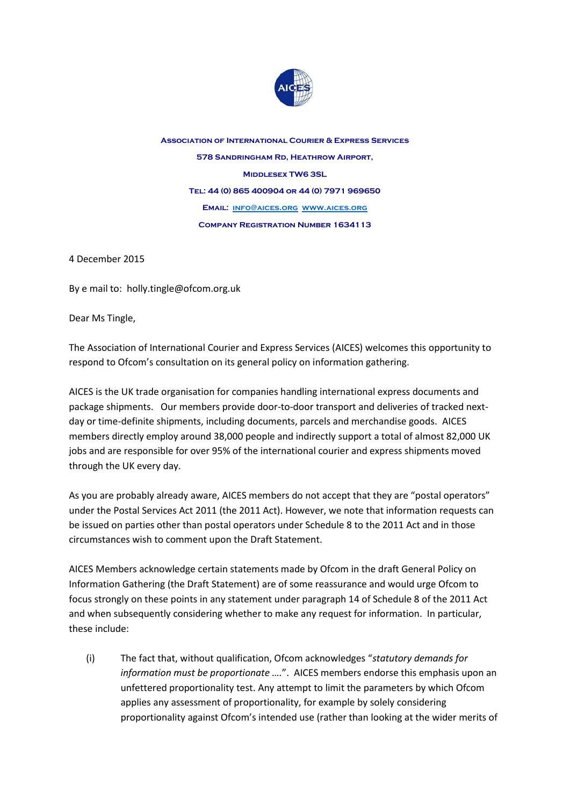

**Association of International Courier & Express Services 578 Sandringham Rd, Heathrow Airport, Middlesex TW6 3SL Tel: 44 (0) 865 400904 or 44 (0) 7971 969650 Email: [info@aices.org](mailto:info@aices.org) [www.aices.org](http://www.aices.org/) Company Registration Number 1634113**

4 December 2015

By e mail to: holly.tingle@ofcom.org.uk

Dear Ms Tingle,

The Association of International Courier and Express Services (AICES) welcomes this opportunity to respond to Ofcom's consultation on its general policy on information gathering.

AICES is the UK trade organisation for companies handling international express documents and package shipments. Our members provide door-to-door transport and deliveries of tracked nextday or time-definite shipments, including documents, parcels and merchandise goods. AICES members directly employ around 38,000 people and indirectly support a total of almost 82,000 UK jobs and are responsible for over 95% of the international courier and express shipments moved through the UK every day.

As you are probably already aware, AICES members do not accept that they are "postal operators" under the Postal Services Act 2011 (the 2011 Act). However, we note that information requests can be issued on parties other than postal operators under Schedule 8 to the 2011 Act and in those circumstances wish to comment upon the Draft Statement.

AICES Members acknowledge certain statements made by Ofcom in the draft General Policy on Information Gathering (the Draft Statement) are of some reassurance and would urge Ofcom to focus strongly on these points in any statement under paragraph 14 of Schedule 8 of the 2011 Act and when subsequently considering whether to make any request for information. In particular, these include:

(i) The fact that, without qualification, Ofcom acknowledges "*statutory demands for information must be proportionate ….*". AICES members endorse this emphasis upon an unfettered proportionality test. Any attempt to limit the parameters by which Ofcom applies any assessment of proportionality, for example by solely considering proportionality against Ofcom's intended use (rather than looking at the wider merits of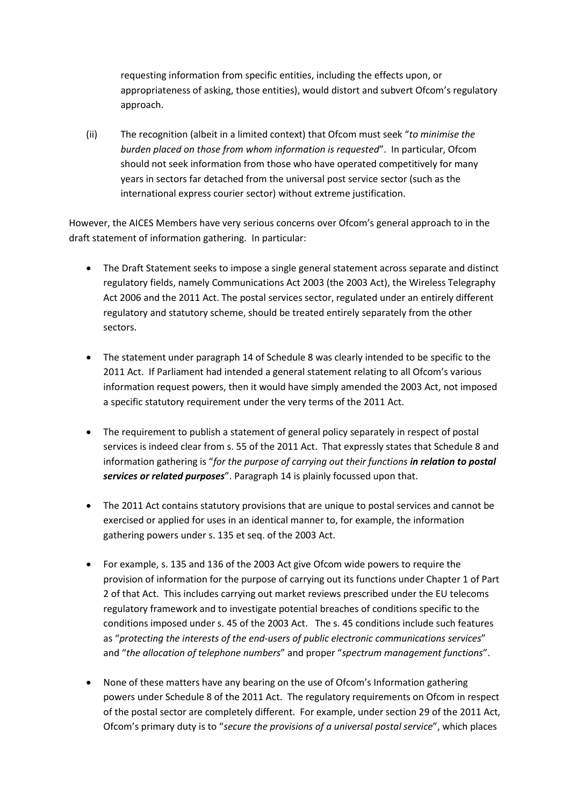requesting information from specific entities, including the effects upon, or appropriateness of asking, those entities), would distort and subvert Ofcom's regulatory approach.

(ii) The recognition (albeit in a limited context) that Ofcom must seek "*to minimise the burden placed on those from whom information is requested*". In particular, Ofcom should not seek information from those who have operated competitively for many years in sectors far detached from the universal post service sector (such as the international express courier sector) without extreme justification.

However, the AICES Members have very serious concerns over Ofcom's general approach to in the draft statement of information gathering. In particular:

- The Draft Statement seeks to impose a single general statement across separate and distinct regulatory fields, namely Communications Act 2003 (the 2003 Act), the Wireless Telegraphy Act 2006 and the 2011 Act. The postal services sector, regulated under an entirely different regulatory and statutory scheme, should be treated entirely separately from the other sectors.
- The statement under paragraph 14 of Schedule 8 was clearly intended to be specific to the 2011 Act. If Parliament had intended a general statement relating to all Ofcom's various information request powers, then it would have simply amended the 2003 Act, not imposed a specific statutory requirement under the very terms of the 2011 Act.
- The requirement to publish a statement of general policy separately in respect of postal services is indeed clear from s. 55 of the 2011 Act. That expressly states that Schedule 8 and information gathering is "*for the purpose of carrying out their functions in relation to postal services or related purposes*". Paragraph 14 is plainly focussed upon that.
- The 2011 Act contains statutory provisions that are unique to postal services and cannot be exercised or applied for uses in an identical manner to, for example, the information gathering powers under s. 135 et seq. of the 2003 Act.
- For example, s. 135 and 136 of the 2003 Act give Ofcom wide powers to require the provision of information for the purpose of carrying out its functions under Chapter 1 of Part 2 of that Act. This includes carrying out market reviews prescribed under the EU telecoms regulatory framework and to investigate potential breaches of conditions specific to the conditions imposed under s. 45 of the 2003 Act. The s. 45 conditions include such features as "*protecting the interests of the end-users of public electronic communications services*" and "*the allocation of telephone numbers*" and proper "*spectrum management functions*".
- None of these matters have any bearing on the use of Ofcom's Information gathering powers under Schedule 8 of the 2011 Act. The regulatory requirements on Ofcom in respect of the postal sector are completely different. For example, under section 29 of the 2011 Act, Ofcom's primary duty is to "*secure the provisions of a universal postal service*", which places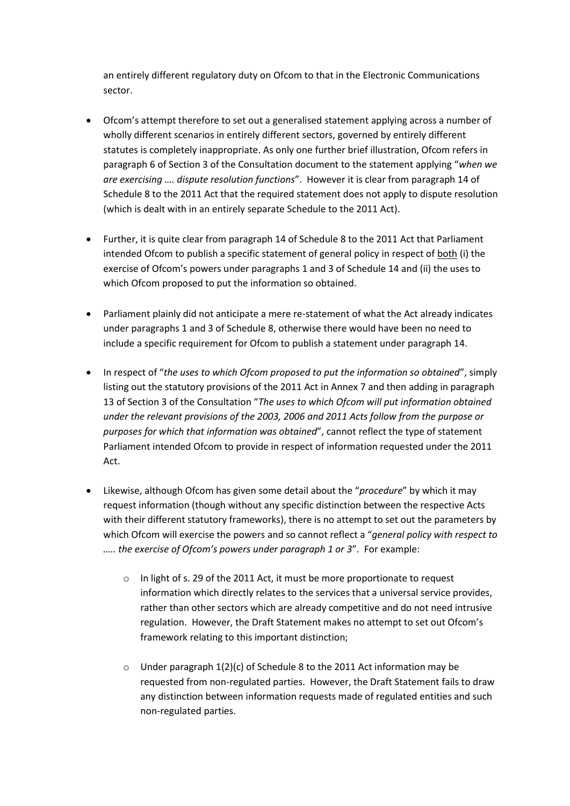an entirely different regulatory duty on Ofcom to that in the Electronic Communications sector.

- Ofcom's attempt therefore to set out a generalised statement applying across a number of wholly different scenarios in entirely different sectors, governed by entirely different statutes is completely inappropriate. As only one further brief illustration, Ofcom refers in paragraph 6 of Section 3 of the Consultation document to the statement applying "*when we are exercising …. dispute resolution functions*". However it is clear from paragraph 14 of Schedule 8 to the 2011 Act that the required statement does not apply to dispute resolution (which is dealt with in an entirely separate Schedule to the 2011 Act).
- Further, it is quite clear from paragraph 14 of Schedule 8 to the 2011 Act that Parliament intended Ofcom to publish a specific statement of general policy in respect of both (i) the exercise of Ofcom's powers under paragraphs 1 and 3 of Schedule 14 and (ii) the uses to which Ofcom proposed to put the information so obtained.
- Parliament plainly did not anticipate a mere re-statement of what the Act already indicates under paragraphs 1 and 3 of Schedule 8, otherwise there would have been no need to include a specific requirement for Ofcom to publish a statement under paragraph 14.
- In respect of "*the uses to which Ofcom proposed to put the information so obtained*", simply listing out the statutory provisions of the 2011 Act in Annex 7 and then adding in paragraph 13 of Section 3 of the Consultation "*The uses to which Ofcom will put information obtained under the relevant provisions of the 2003, 2006 and 2011 Acts follow from the purpose or purposes for which that information was obtained*", cannot reflect the type of statement Parliament intended Ofcom to provide in respect of information requested under the 2011 Act.
- Likewise, although Ofcom has given some detail about the "*procedure*" by which it may request information (though without any specific distinction between the respective Acts with their different statutory frameworks), there is no attempt to set out the parameters by which Ofcom will exercise the powers and so cannot reflect a "*general policy with respect to ….. the exercise of Ofcom's powers under paragraph 1 or 3*". For example:
	- o In light of s. 29 of the 2011 Act, it must be more proportionate to request information which directly relates to the services that a universal service provides, rather than other sectors which are already competitive and do not need intrusive regulation. However, the Draft Statement makes no attempt to set out Ofcom's framework relating to this important distinction;
	- o Under paragraph 1(2)(c) of Schedule 8 to the 2011 Act information may be requested from non-regulated parties. However, the Draft Statement fails to draw any distinction between information requests made of regulated entities and such non-regulated parties.